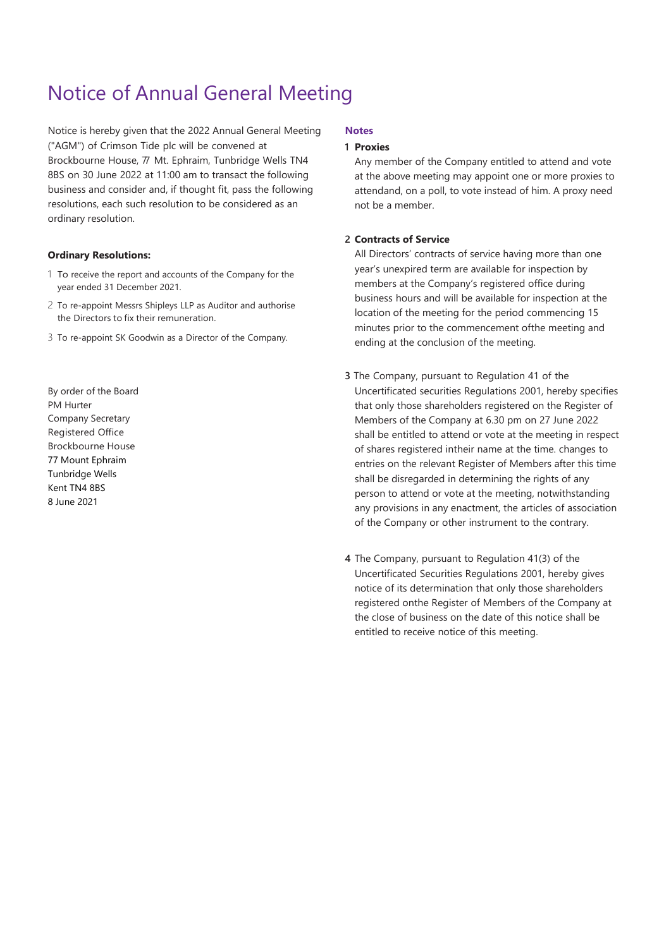# Notice of Annual General Meeting

Notice is hereby given that the 2022 Annual General Meeting ("AGM") of Crimson Tide plc will be convened at Brockbourne House, 77 Mt. Ephraim, Tunbridge Wells TN4 8BS on 30 June 2022 at 11:00 am to transact the following business and consider and, if thought fit, pass the following resolutions, each such resolution to be considered as an ordinary resolution.

#### **Ordinary Resolutions:**

- 1 To receive the report and accounts of the Company for the year ended 31 December 2021.
- 2 To re-appoint Messrs Shipleys LLP as Auditor and authorise the Directors to fix their remuneration.
- 3 To re-appoint SK Goodwin as a Director of the Company.

By order of the Board PM Hurter Company Secretary Registered Office Brockbourne House 77 Mount Ephraim Tunbridge Wells Kent TN4 8BS 8 June 2021

### **Notes**

#### **1 Proxies**

Any member of the Company entitled to attend and vote at the above meeting may appoint one or more proxies to attendand, on a poll, to vote instead of him. A proxy need not be a member.

#### **2 Contracts of Service**

All Directors' contracts of service having more than one year's unexpired term are available for inspection by members at the Company's registered office during business hours and will be available for inspection at the location of the meeting for the period commencing 15 minutes prior to the commencement ofthe meeting and ending at the conclusion of the meeting.

- **3** The Company, pursuant to Regulation 41 of the Uncertificated securities Regulations 2001, hereby specifies that only those shareholders registered on the Register of Members of the Company at 6.30 pm on 27 June 2022 shall be entitled to attend or vote at the meeting in respect of shares registered intheir name at the time. changes to entries on the relevant Register of Members after this time shall be disregarded in determining the rights of any person to attend or vote at the meeting, notwithstanding any provisions in any enactment, the articles of association of the Company or other instrument to the contrary.
- **4** The Company, pursuant to Regulation 41(3) of the Uncertificated Securities Regulations 2001, hereby gives notice of its determination that only those shareholders registered onthe Register of Members of the Company at the close of business on the date of this notice shall be entitled to receive notice of this meeting.